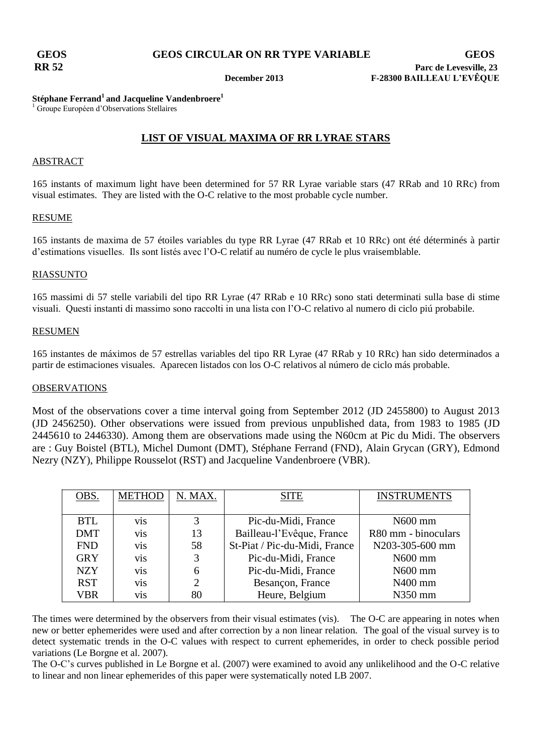## **Stéphane Ferrand<sup>1</sup> and Jacqueline Vandenbroere<sup>1</sup>**

<sup>1</sup> Groupe Européen d'Observations Stellaires

# **LIST OF VISUAL MAXIMA OF RR LYRAE STARS**

## ABSTRACT

165 instants of maximum light have been determined for 57 RR Lyrae variable stars (47 RRab and 10 RRc) from visual estimates. They are listed with the O-C relative to the most probable cycle number.

## RESUME

165 instants de maxima de 57 étoiles variables du type RR Lyrae (47 RRab et 10 RRc) ont été déterminés à partir d'estimations visuelles. Ils sont listés avec l'O-C relatif au numéro de cycle le plus vraisemblable.

## RIASSUNTO

165 massimi di 57 stelle variabili del tipo RR Lyrae (47 RRab e 10 RRc) sono stati determinati sulla base di stime visuali. Questi instanti di massimo sono raccolti in una lista con l'O-C relativo al numero di ciclo piú probabile.

## RESUMEN

165 instantes de máximos de 57 estrellas variables del tipo RR Lyrae (47 RRab y 10 RRc) han sido determinados a partir de estimaciones visuales. Aparecen listados con los O-C relativos al número de ciclo más probable.

## OBSERVATIONS

Most of the observations cover a time interval going from September 2012 (JD 2455800) to August 2013 (JD 2456250). Other observations were issued from previous unpublished data, from 1983 to 1985 (JD 2445610 to 2446330). Among them are observations made using the N60cm at Pic du Midi. The observers are : Guy Boistel (BTL), Michel Dumont (DMT), Stéphane Ferrand (FND), Alain Grycan (GRY), Edmond Nezry (NZY), Philippe Rousselot (RST) and Jacqueline Vandenbroere (VBR).

| OBS.       | <b>METHOD</b>    | N. MAX.        | <b>SITE</b>                   | <b>INSTRUMENTS</b>  |
|------------|------------------|----------------|-------------------------------|---------------------|
|            |                  |                |                               |                     |
| <b>BTL</b> | V <sub>i</sub> s | 3              | Pic-du-Midi, France           | N600 mm             |
| <b>DMT</b> | <b>vis</b>       | 13             | Bailleau-l'Evêque, France     | R80 mm - binoculars |
| <b>FND</b> | V <sub>i</sub> s | 58             | St-Piat / Pic-du-Midi, France | N203-305-600 mm     |
| <b>GRY</b> | V <sub>i</sub> s | 3              | Pic-du-Midi, France           | N600 mm             |
| <b>NZY</b> | V <sub>i</sub> s | 6              | Pic-du-Midi, France           | N600 mm             |
| <b>RST</b> | V <sub>i</sub> s | $\overline{2}$ | Besançon, France              | N400 mm             |
| VBR        | V1S              | 80             | Heure, Belgium                | N350 mm             |

The times were determined by the observers from their visual estimates (vis). The O-C are appearing in notes when new or better ephemerides were used and after correction by a non linear relation. The goal of the visual survey is to detect systematic trends in the O-C values with respect to current ephemerides, in order to check possible period variations (Le Borgne et al. 2007).

The O-C's curves published in Le Borgne et al. (2007) were examined to avoid any unlikelihood and the O-C relative to linear and non linear ephemerides of this paper were systematically noted LB 2007.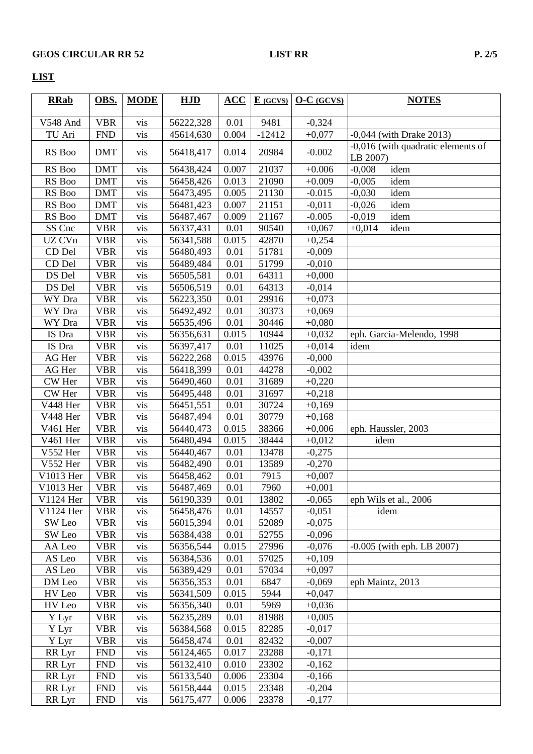# **LIST**

| <b>RRab</b>                              | OBS.       | <b>MODE</b> | HJD       | $\overline{ACC}$ | $E$ (GCVS) | $O-C$ (GCVS) | <b>NOTES</b>                                   |
|------------------------------------------|------------|-------------|-----------|------------------|------------|--------------|------------------------------------------------|
|                                          |            |             |           |                  |            |              |                                                |
| V548 And                                 | <b>VBR</b> | vis         | 56222,328 | 0.01             | 9481       | $-0,324$     |                                                |
| TU Ari                                   | <b>FND</b> | vis         | 45614,630 | 0.004            | $-12412$   | $+0,077$     | $-0,044$ (with Drake 2013)                     |
| RS Boo                                   | <b>DMT</b> | vis         | 56418,417 | 0.014            | 20984      | $-0.002$     | -0,016 (with quadratic elements of<br>LB 2007) |
| RS Boo                                   | <b>DMT</b> | vis         | 56438,424 | 0.007            | 21037      | $+0.006$     | idem<br>$-0,008$                               |
| RS Boo                                   | <b>DMT</b> | vis         | 56458,426 | 0.013            | 21090      | $+0.009$     | $-0,005$<br>idem                               |
| RS Boo                                   | <b>DMT</b> | vis         | 56473,495 | 0.005            | 21130      | $-0.015$     | $-0,030$<br>idem                               |
| RS Boo                                   | <b>DMT</b> | vis         | 56481,423 | 0.007            | 21151      | $-0,011$     | $-0,026$<br>idem                               |
| RS Boo                                   | <b>DMT</b> | vis         | 56487,467 | 0.009            | 21167      | $-0.005$     | idem<br>$-0,019$                               |
| SS Cnc                                   | <b>VBR</b> | vis         | 56337,431 | 0.01             | 90540      | $+0,067$     | $+0,014$<br>idem                               |
| UZ CVn                                   | <b>VBR</b> | vis         | 56341,588 | 0.015            | 42870      | $+0,254$     |                                                |
| CD Del                                   | <b>VBR</b> | vis         | 56480,493 | 0.01             | 51781      | $-0,009$     |                                                |
| CD Del                                   | <b>VBR</b> | vis         | 56489,484 | 0.01             | 51799      | $-0,010$     |                                                |
| DS Del                                   | <b>VBR</b> | vis         | 56505,581 | 0.01             | 64311      | $+0,000$     |                                                |
| DS Del                                   | <b>VBR</b> | vis         | 56506,519 | 0.01             | 64313      | $-0,014$     |                                                |
| WY Dra                                   | <b>VBR</b> | vis         | 56223,350 | 0.01             | 29916      | $+0,073$     |                                                |
| WY Dra                                   | <b>VBR</b> | vis         | 56492,492 | 0.01             | 30373      | $+0,069$     |                                                |
| WY Dra                                   | <b>VBR</b> | vis         | 56535,496 | 0.01             | 30446      | $+0,080$     |                                                |
| IS Dra                                   | <b>VBR</b> | vis         | 56356,631 | 0.015            | 10944      | $+0,032$     | eph. Garcia-Melendo, 1998                      |
| IS Dra                                   | <b>VBR</b> | vis         | 56397,417 | 0.01             | 11025      | $+0,014$     | idem                                           |
| AG Her                                   | <b>VBR</b> | vis         | 56222,268 | 0.015            | 43976      | $-0,000$     |                                                |
| AG Her                                   | <b>VBR</b> | vis         | 56418,399 | 0.01             | 44278      | $-0,002$     |                                                |
| CW Her                                   | <b>VBR</b> | vis         | 56490,460 | 0.01             | 31689      | $+0,220$     |                                                |
| CW Her                                   | <b>VBR</b> | vis         | 56495,448 | 0.01             | 31697      | $+0,218$     |                                                |
| V448 Her                                 | <b>VBR</b> | vis         | 56451,551 | 0.01             | 30724      | $+0,169$     |                                                |
| V448 Her                                 | <b>VBR</b> | vis         | 56487,494 | 0.01             | 30779      | $+0,168$     |                                                |
| V461 Her                                 | <b>VBR</b> | vis         | 56440,473 | 0.015            | 38366      | $+0,006$     | eph. Haussler, 2003                            |
| V461 Her                                 | <b>VBR</b> | vis         | 56480,494 | 0.015            | 38444      | $+0,012$     | idem                                           |
| V552 Her                                 | <b>VBR</b> | vis         | 56440,467 | 0.01             | 13478      | $-0,275$     |                                                |
| V552 Her                                 | <b>VBR</b> | vis         | 56482,490 | 0.01             | 13589      | $-0,270$     |                                                |
| V1013 Her                                | <b>VBR</b> | vis         | 56458,462 | 0.01             | 7915       | $+0,007$     |                                                |
| V1013 Her                                | <b>VBR</b> | vis         | 56487,469 | 0.01             | 7960       | $+0,001$     |                                                |
| V1124 Her                                | <b>VBR</b> | vis         | 56190,339 | 0.01             | 13802      | $-0,065$     | eph Wils et al., 2006                          |
| V1124 Her                                | <b>VBR</b> | vis         | 56458,476 | 0.01             | 14557      | $-0,051$     | idem                                           |
| SW Leo                                   | <b>VBR</b> | vis         | 56015,394 | 0.01             | 52089      | $-0,075$     |                                                |
| SW Leo                                   | <b>VBR</b> | vis         | 56384,438 | 0.01             | 52755      | $-0,096$     |                                                |
| AA Leo                                   | <b>VBR</b> | vis         | 56356,544 | 0.015            | 27996      | $-0,076$     | $-0.005$ (with eph. LB 2007)                   |
| $\operatorname{AS}\, \operatorname{Leo}$ | <b>VBR</b> | vis         | 56384,536 | 0.01             | 57025      | $+0,109$     |                                                |
| AS Leo                                   | <b>VBR</b> | vis         | 56389,429 | 0.01             | 57034      | $+0,097$     |                                                |
| DM Leo                                   | <b>VBR</b> | vis         | 56356,353 | 0.01             | 6847       | $-0,069$     | eph Maintz, 2013                               |
| HV Leo                                   | <b>VBR</b> | vis         | 56341,509 | 0.015            | 5944       | $+0,047$     |                                                |
| HV Leo                                   | <b>VBR</b> | vis         | 56356,340 | 0.01             | 5969       | $+0,036$     |                                                |
| Y Lyr                                    | <b>VBR</b> | vis         | 56235,289 | 0.01             | 81988      | $+0,005$     |                                                |
| Y Lyr                                    | <b>VBR</b> | vis         | 56384,568 | 0.015            | 82285      | $-0,017$     |                                                |
| Y Lyr                                    | <b>VBR</b> | vis         | 56458,474 | 0.01             | 82432      | $-0,007$     |                                                |
| RR Lyr                                   | <b>FND</b> | vis         | 56124,465 | 0.017            | 23288      | $-0,171$     |                                                |
| RR Lyr                                   | <b>FND</b> | vis         | 56132,410 | 0.010            | 23302      | $-0,162$     |                                                |
| RR Lyr                                   | <b>FND</b> | vis         | 56133,540 | 0.006            | 23304      | $-0,166$     |                                                |
| RR Lyr                                   | <b>FND</b> | vis         | 56158,444 | 0.015            | 23348      | $-0,204$     |                                                |
| RR Lyr                                   | <b>FND</b> | vis         | 56175,477 | 0.006            | 23378      | $-0,177$     |                                                |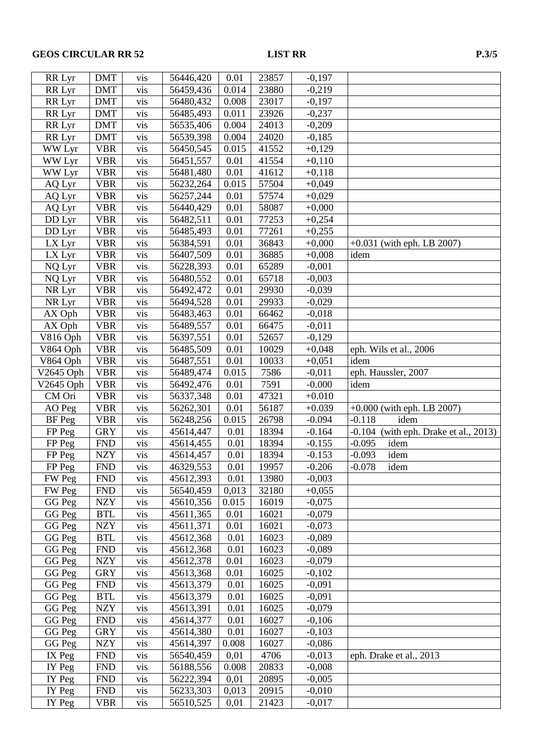| RR Lyr      | <b>DMT</b>     | vis        | 56446,420 | 0.01  | 23857          | $-0,197$ |                                            |
|-------------|----------------|------------|-----------|-------|----------------|----------|--------------------------------------------|
| RR Lyr      | <b>DMT</b>     | vis        | 56459,436 | 0.014 | 23880          | $-0,219$ |                                            |
| RR Lyr      | <b>DMT</b>     | vis        | 56480,432 | 0.008 | 23017          | $-0,197$ |                                            |
| RR Lyr      | <b>DMT</b>     | vis        | 56485,493 | 0.011 | 23926          | $-0,237$ |                                            |
| RR Lyr      | <b>DMT</b>     | vis        | 56535,406 | 0.004 | 24013          | $-0,209$ |                                            |
| RR Lyr      | <b>DMT</b>     | vis        | 56539,398 | 0.004 | 24020          | $-0,185$ |                                            |
| WW Lyr      | <b>VBR</b>     | vis        | 56450,545 | 0.015 | 41552          | $+0,129$ |                                            |
| WW Lyr      | <b>VBR</b>     | vis        | 56451,557 | 0.01  | 41554          | $+0,110$ |                                            |
| WW Lyr      | <b>VBR</b>     | vis        | 56481,480 | 0.01  | 41612          | $+0,118$ |                                            |
| AQ Lyr      | <b>VBR</b>     | vis        | 56232,264 | 0.015 | 57504          | $+0,049$ |                                            |
| AQ Lyr      | <b>VBR</b>     | vis        | 56257,244 | 0.01  | 57574          | $+0,029$ |                                            |
| AQ Lyr      | <b>VBR</b>     | vis        | 56440,429 | 0.01  | 58087          | $+0,000$ |                                            |
| DD Lyr      | <b>VBR</b>     | vis        | 56482,511 | 0.01  | 77253          | $+0,254$ |                                            |
| DD Lyr      | <b>VBR</b>     | vis        | 56485,493 | 0.01  | 77261          | $+0,255$ |                                            |
| LX Lyr      | <b>VBR</b>     | vis        | 56384,591 | 0.01  | 36843          | $+0,000$ | $+0.031$ (with eph. LB 2007)               |
| LX Lyr      | <b>VBR</b>     | vis        | 56407,509 | 0.01  | 36885          | $+0,008$ | idem                                       |
| NQ Lyr      | <b>VBR</b>     | vis        | 56228,393 | 0.01  | 65289          | $-0,001$ |                                            |
|             |                |            |           |       |                |          |                                            |
| NQ Lyr      | <b>VBR</b>     | vis        | 56480,552 | 0.01  | 65718<br>29930 | $-0,003$ |                                            |
| NR Lyr      | <b>VBR</b>     | vis        | 56492,472 | 0.01  |                | $-0,039$ |                                            |
| NR Lyr      | <b>VBR</b>     | vis        | 56494,528 | 0.01  | 29933          | $-0,029$ |                                            |
| AX Oph      | <b>VBR</b>     | vis        | 56483,463 | 0.01  | 66462          | $-0,018$ |                                            |
| AX Oph      | <b>VBR</b>     | vis        | 56489,557 | 0.01  | 66475          | $-0,011$ |                                            |
| V816 Oph    | <b>VBR</b>     | vis        | 56397,551 | 0.01  | 52657          | $-0,129$ |                                            |
| V864 Oph    | <b>VBR</b>     | vis        | 56485,509 | 0.01  | 10029          | $+0,048$ | eph. Wils et al., 2006                     |
| V864 Oph    | <b>VBR</b>     | vis        | 56487,551 | 0.01  | 10033          | $+0,051$ | idem                                       |
| V2645 Oph   | <b>VBR</b>     | vis        | 56489,474 | 0.015 | 7586           | $-0,011$ | eph. Haussler, 2007                        |
| $V2645$ Oph | <b>VBR</b>     | vis        | 56492,476 | 0.01  | 7591           | $-0.000$ | idem                                       |
| CM Ori      | <b>VBR</b>     | vis        | 56337,348 | 0.01  | 47321          | $+0.010$ |                                            |
| AO Peg      | <b>VBR</b>     | vis        | 56262,301 | 0.01  | 56187          | $+0.039$ | $+0.000$ (with eph. LB 2007)               |
| BF Peg      | <b>VBR</b>     | vis        | 56248,256 | 0.015 | 26798          | $-0.094$ | idem<br>$-0.118$                           |
| FP Peg      | <b>GRY</b>     | vis        | 45614,447 | 0.01  | 18394          | $-0.164$ | (with eph. Drake et al., 2013)<br>$-0.104$ |
| FP Peg      | <b>FND</b>     | vis        | 45614,455 | 0.01  | 18394          | $-0.155$ | idem<br>$-0.095$                           |
| FP Peg      | <b>NZY</b>     | vis        | 45614,457 | 0.01  | 18394          | $-0.153$ | $-0.093$<br>idem                           |
| FP Peg      | <b>FND</b>     | vis        | 46329,553 | 0.01  | 19957          | $-0.206$ | idem<br>$-0.078$                           |
| FW Peg      | <b>FND</b>     | <b>vis</b> | 45612,393 | 0.01  | 13980          | $-0,003$ |                                            |
| FW Peg      | <b>FND</b>     | vis        | 56540,459 | 0,013 | 32180          | $+0,055$ |                                            |
| GG Peg      | <b>NZY</b>     | vis        | 45610,356 | 0.015 | 16019          | $-0,075$ |                                            |
| GG Peg      | <b>BTL</b>     | vis        | 45611,365 | 0.01  | 16021          | $-0,079$ |                                            |
| GG Peg      | <b>NZY</b>     | vis        | 45611,371 | 0.01  | 16021          | $-0,073$ |                                            |
| GG Peg      | <b>BTL</b>     | vis        | 45612,368 | 0.01  | 16023          | $-0,089$ |                                            |
| GG Peg      | <b>FND</b>     | vis        | 45612,368 | 0.01  | 16023          | $-0,089$ |                                            |
| GG Peg      | ${\rm NZY}$    | vis        | 45612,378 | 0.01  | 16023          | $-0,079$ |                                            |
| GG Peg      | <b>GRY</b>     | vis        | 45613,368 | 0.01  | 16025          | $-0,102$ |                                            |
| GG Peg      | <b>FND</b>     | vis        | 45613,379 | 0.01  | 16025          | $-0,091$ |                                            |
| GG Peg      | <b>BTL</b>     | vis        | 45613,379 | 0.01  | 16025          | $-0,091$ |                                            |
| GG Peg      | <b>NZY</b>     | vis        | 45613,391 | 0.01  | 16025          | $-0,079$ |                                            |
| GG Peg      | <b>FND</b>     | vis        | 45614,377 | 0.01  | 16027          | $-0,106$ |                                            |
| GG Peg      | <b>GRY</b>     | vis        | 45614,380 | 0.01  | 16027          | $-0,103$ |                                            |
| GG Peg      | <b>NZY</b>     | vis        | 45614,397 | 0.008 | 16027          | $-0,086$ |                                            |
| IX Peg      | <b>FND</b>     | vis        | 56540,459 | 0,01  | 4706           | $-0,013$ | eph. Drake et al., 2013                    |
| IY Peg      | <b>FND</b>     | vis        | 56188,556 | 0.008 | 20833          | $-0,008$ |                                            |
| IY Peg      | ${\hbox{FND}}$ | vis        | 56222,394 | 0,01  | 20895          | $-0,005$ |                                            |
| IY Peg      | <b>FND</b>     | vis        | 56233,303 | 0,013 | 20915          | $-0,010$ |                                            |
| IY Peg      | <b>VBR</b>     | vis        | 56510,525 | 0,01  | 21423          | $-0,017$ |                                            |
|             |                |            |           |       |                |          |                                            |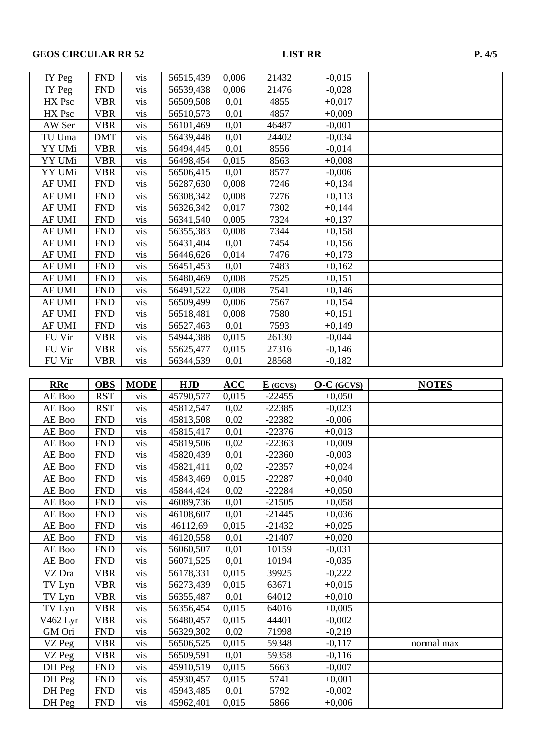# GEOS CIRCULAR RR 52 LIST RR P. 4/5

| IY Peg           | <b>FND</b>               | vis         | 56515,439              | 0,006         | 21432        | $-0,015$             |              |
|------------------|--------------------------|-------------|------------------------|---------------|--------------|----------------------|--------------|
| IY Peg           | <b>FND</b>               | vis         | 56539,438              | 0,006         | 21476        | $-0,028$             |              |
| HX Psc           | <b>VBR</b>               | vis         | 56509,508              | 0,01          | 4855         | $+0,017$             |              |
| HX Psc           | <b>VBR</b>               | vis         | 56510,573              | 0,01          | 4857         | $+0,009$             |              |
| AW Ser           | <b>VBR</b>               | vis         | 56101,469              | 0,01          | 46487        | $-0,001$             |              |
| TU Uma           | <b>DMT</b>               | vis         | 56439,448              | 0,01          | 24402        | $-0,034$             |              |
| YY UMi           | <b>VBR</b>               | vis         | 56494,445              | 0,01          | 8556         | $-0,014$             |              |
| YY UMi           | <b>VBR</b>               | vis         | 56498,454              | 0,015         | 8563         | $+0,008$             |              |
| YY UMi           | <b>VBR</b>               | vis         | 56506,415              | 0,01          | 8577         | $-0,006$             |              |
| <b>AF UMI</b>    | <b>FND</b>               | vis         | 56287,630              | 0,008         | 7246         | $+0,134$             |              |
| <b>AF UMI</b>    | <b>FND</b>               | vis         | 56308,342              | 0,008         | 7276         | $+0,113$             |              |
| <b>AF UMI</b>    | <b>FND</b>               | vis         | 56326,342              | 0,017         | 7302         | $+0,144$             |              |
| <b>AF UMI</b>    | <b>FND</b>               | vis         | 56341,540              | 0,005         | 7324         | $+0,137$             |              |
| <b>AF UMI</b>    | <b>FND</b>               | vis         | 56355,383              | 0,008         | 7344         | $+0,158$             |              |
| <b>AF UMI</b>    | <b>FND</b>               | vis         | 56431,404              | 0,01          | 7454         | $+0,156$             |              |
| <b>AF UMI</b>    | <b>FND</b>               | vis         | 56446,626              | 0,014         | 7476         | $+0,173$             |              |
| <b>AF UMI</b>    | <b>FND</b>               | vis         | 56451,453              | 0,01          | 7483         | $+0,162$             |              |
| <b>AF UMI</b>    | <b>FND</b>               | vis         | 56480,469              | 0,008         | 7525         | $+0,151$             |              |
| <b>AF UMI</b>    | <b>FND</b>               | vis         | 56491,522              | 0,008         | 7541         | $+0,146$             |              |
| <b>AF UMI</b>    | <b>FND</b>               | vis         | 56509,499              | 0,006         | 7567         | $+0,154$             |              |
| <b>AF UMI</b>    | <b>FND</b>               | vis         | 56518,481              | 0,008         | 7580         | $+0,151$             |              |
| <b>AF UMI</b>    | <b>FND</b>               | vis         | 56527,463              | 0,01          | 7593         | $+0,149$             |              |
| FU Vir           | <b>VBR</b>               | vis         | 54944,388              | 0,015         | 26130        | $-0,044$             |              |
| FU Vir           | <b>VBR</b>               | vis         | 55625,477              | 0,015         | 27316        | $-0,146$             |              |
| FU Vir           | <b>VBR</b>               | vis         | 56344,539              | 0,01          | 28568        | $-0,182$             |              |
|                  |                          |             |                        |               |              |                      |              |
| <b>RRc</b>       | <b>OBS</b>               | <b>MODE</b> | <b>HJD</b>             | <b>ACC</b>    | $E$ (GCVS)   | $O-C$ (GCVS)         | <b>NOTES</b> |
|                  |                          |             |                        |               |              |                      |              |
| AE Boo           | <b>RST</b>               | vis         | 45790,577              | 0,015         | $-22455$     | $+0,050$             |              |
| AE Boo           | <b>RST</b>               | vis         | 45812,547              | 0,02          | $-22385$     | $-0,023$             |              |
| AE Boo           | <b>FND</b>               | vis         | 45813,508              | 0,02          | $-22382$     | $-0,006$             |              |
| AE Boo           | <b>FND</b>               | vis         | 45815,417              | 0,01          | $-22376$     | $+0,013$             |              |
| AE Boo           | <b>FND</b>               | vis         | 45819,506              | 0,02          | $-22363$     | $+0,009$             |              |
| AE Boo           | <b>FND</b>               | vis         | 45820,439              | 0,01          | $-22360$     | $-0,003$             |              |
| AE Boo           | <b>FND</b>               | vis         | 45821,411              | 0,02          | $-22357$     | $+0,024$             |              |
| AE Boo           | <b>FND</b>               | vis         | 45843,469              | 0,015         | $-22287$     | $+0,040$             |              |
| AE Boo           | <b>FND</b>               | vis         | 45844,424              | 0,02          | $-22284$     | $+0,050$             |              |
| AE Boo           | <b>FND</b>               | vis         | 46089,736              | 0,01          | $-21505$     | $+0,058$             |              |
| AE Boo           | <b>FND</b>               | vis         | 46108,607              | 0,01          | $-21445$     | $+0,036$             |              |
| AE Boo           | <b>FND</b>               | vis         | 46112,69               | 0,015         | $-21432$     | $+0,025$             |              |
| AE Boo           | <b>FND</b>               | vis         | 46120,558              | 0,01          | $-21407$     | $+0,020$             |              |
| AE Boo           | <b>FND</b>               | vis         | 56060,507              | 0,01          | 10159        | $-0,031$             |              |
| AE Boo           | <b>FND</b>               | vis         | 56071,525              | 0,01          | 10194        | $-0,035$             |              |
| VZ Dra           | <b>VBR</b>               | vis         | 56178,331              | 0,015         | 39925        | $-0,222$             |              |
| TV Lyn           | <b>VBR</b>               | vis         | 56273,439              | 0,015         | 63671        | $+0,015$             |              |
| TV Lyn           | <b>VBR</b>               | vis         | 56355,487              | 0,01          | 64012        | $+0,010$             |              |
| TV Lyn           | <b>VBR</b>               | vis         | 56356,454              | 0,015         | 64016        | $+0,005$             |              |
| V462 Lyr         | <b>VBR</b>               | vis         | 56480,457              | 0,015         | 44401        | $-0,002$             |              |
| GM Ori           | <b>FND</b>               | vis         | 56329,302              | 0,02          | 71998        | $-0,219$             |              |
| VZ Peg           | <b>VBR</b>               | vis         | 56506,525              | 0,015         | 59348        | $-0,117$             | normal max   |
| VZ Peg           | <b>VBR</b>               | vis         | 56509,591              | 0,01          | 59358        | $-0,116$             |              |
| DH Peg           | <b>FND</b>               | vis         | 45910,519              | 0,015         | 5663         | $-0,007$             |              |
| DH Peg           | <b>FND</b>               | vis         | 45930,457              | 0,015         | 5741         | $+0,001$             |              |
| DH Peg<br>DH Peg | <b>FND</b><br><b>FND</b> | vis<br>vis  | 45943,485<br>45962,401 | 0,01<br>0,015 | 5792<br>5866 | $-0,002$<br>$+0,006$ |              |